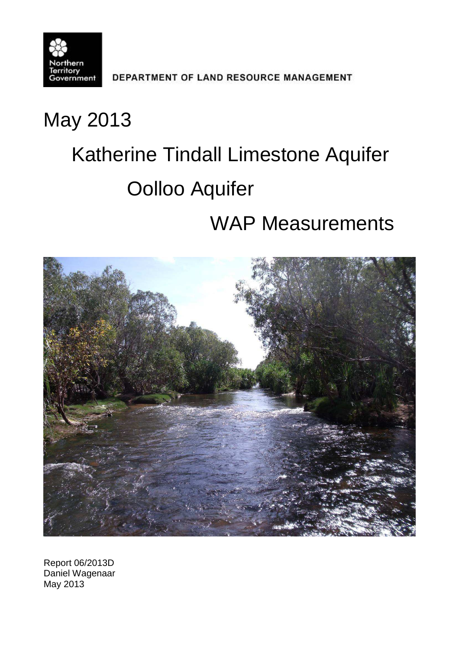

DEPARTMENT OF LAND RESOURCE MANAGEMENT

# May 2013

# Katherine Tindall Limestone Aquifer Oolloo Aquifer

# WAP Measurements



Report 06/2013D Daniel Wagenaar May 2013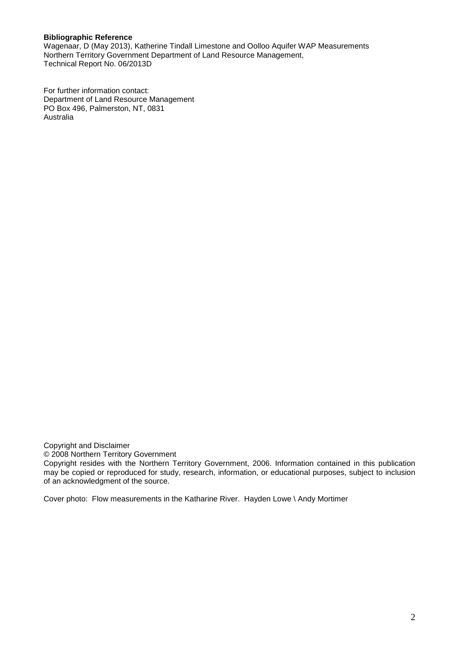#### **Bibliographic Reference**

Wagenaar, D (May 2013), Katherine Tindall Limestone and Oolloo Aquifer WAP Measurements Northern Territory Government Department of Land Resource Management, Technical Report No. 06/2013D

For further information contact: Department of Land Resource Management PO Box 496, Palmerston, NT, 0831 Australia

Copyright and Disclaimer

© 2008 Northern Territory Government

Copyright resides with the Northern Territory Government, 2006. Information contained in this publication may be copied or reproduced for study, research, information, or educational purposes, subject to inclusion of an acknowledgment of the source.

Cover photo: Flow measurements in the Katharine River. Hayden Lowe \ Andy Mortimer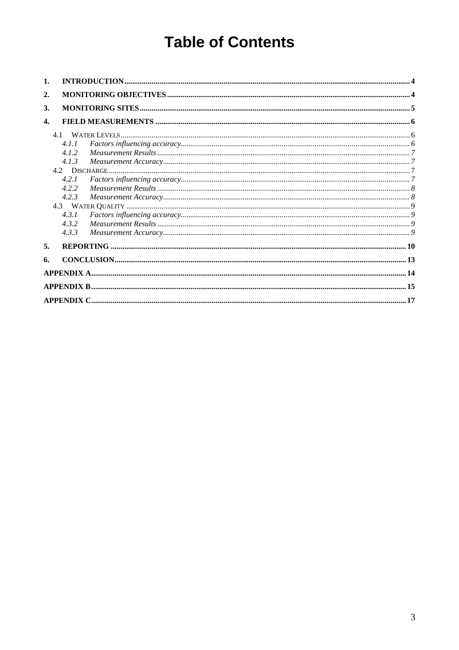# **Table of Contents**

| 1.               |       |  |
|------------------|-------|--|
| 2.               |       |  |
| 3.               |       |  |
| $\overline{4}$ . |       |  |
|                  |       |  |
|                  | 4.1.1 |  |
|                  | 4.1.2 |  |
|                  | 4.1.3 |  |
|                  |       |  |
|                  | 4.2.1 |  |
|                  | 4.2.2 |  |
|                  | 4.2.3 |  |
|                  |       |  |
|                  | 4.3.1 |  |
|                  | 4.3.2 |  |
|                  | 4.3.3 |  |
| 5.               |       |  |
| 6.               |       |  |
|                  |       |  |
|                  |       |  |
|                  |       |  |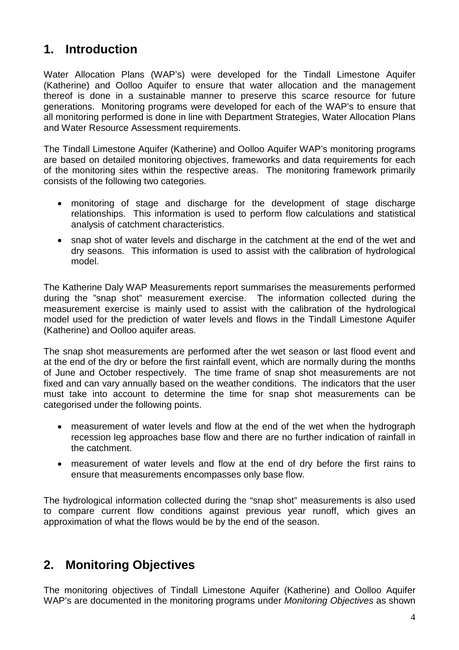## <span id="page-3-0"></span>**1. Introduction**

Water Allocation Plans (WAP's) were developed for the Tindall Limestone Aquifer (Katherine) and Oolloo Aquifer to ensure that water allocation and the management thereof is done in a sustainable manner to preserve this scarce resource for future generations. Monitoring programs were developed for each of the WAP's to ensure that all monitoring performed is done in line with Department Strategies, Water Allocation Plans and Water Resource Assessment requirements.

The Tindall Limestone Aquifer (Katherine) and Oolloo Aquifer WAP's monitoring programs are based on detailed monitoring objectives, frameworks and data requirements for each of the monitoring sites within the respective areas. The monitoring framework primarily consists of the following two categories.

- monitoring of stage and discharge for the development of stage discharge relationships. This information is used to perform flow calculations and statistical analysis of catchment characteristics.
- snap shot of water levels and discharge in the catchment at the end of the wet and dry seasons. This information is used to assist with the calibration of hydrological model.

The Katherine Daly WAP Measurements report summarises the measurements performed during the "snap shot" measurement exercise. The information collected during the measurement exercise is mainly used to assist with the calibration of the hydrological model used for the prediction of water levels and flows in the Tindall Limestone Aquifer (Katherine) and Oolloo aquifer areas.

The snap shot measurements are performed after the wet season or last flood event and at the end of the dry or before the first rainfall event, which are normally during the months of June and October respectively. The time frame of snap shot measurements are not fixed and can vary annually based on the weather conditions. The indicators that the user must take into account to determine the time for snap shot measurements can be categorised under the following points.

- measurement of water levels and flow at the end of the wet when the hydrograph recession leg approaches base flow and there are no further indication of rainfall in the catchment.
- measurement of water levels and flow at the end of dry before the first rains to ensure that measurements encompasses only base flow.

The hydrological information collected during the "snap shot" measurements is also used to compare current flow conditions against previous year runoff, which gives an approximation of what the flows would be by the end of the season.

## <span id="page-3-1"></span>**2. Monitoring Objectives**

The monitoring objectives of Tindall Limestone Aquifer (Katherine) and Oolloo Aquifer WAP's are documented in the monitoring programs under *Monitoring Objectives* as shown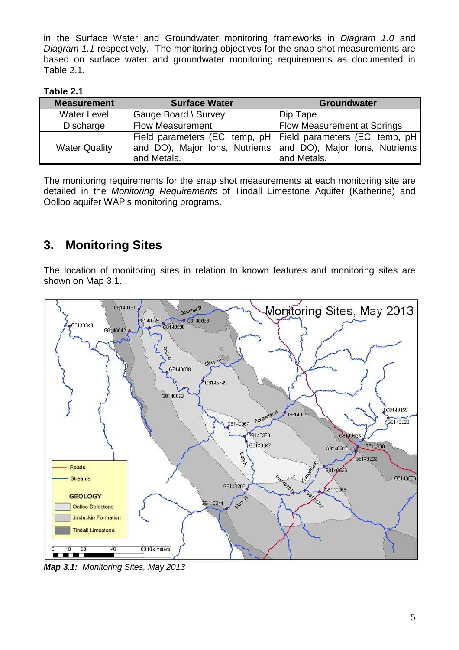in the Surface Water and Groundwater monitoring frameworks in *Diagram 1.0* and *Diagram 1.1* respectively. The monitoring objectives for the snap shot measurements are based on surface water and groundwater monitoring requirements as documented in Table 2.1.

| able |  |
|------|--|
|------|--|

| <b>Measurement</b>   | <b>Surface Water</b>    | <b>Groundwater</b>                                                                                                                                |  |  |  |  |
|----------------------|-------------------------|---------------------------------------------------------------------------------------------------------------------------------------------------|--|--|--|--|
| <b>Water Level</b>   | Gauge Board \ Survey    | Dip Tape                                                                                                                                          |  |  |  |  |
| Discharge            | <b>Flow Measurement</b> | Flow Measurement at Springs                                                                                                                       |  |  |  |  |
| <b>Water Quality</b> | and Metals.             | Field parameters (EC, temp, pH   Field parameters (EC, temp, pH  <br>and DO), Major Ions, Nutrients and DO), Major Ions, Nutrients<br>and Metals. |  |  |  |  |

The monitoring requirements for the snap shot measurements at each monitoring site are detailed in the *Monitoring Requirements* of Tindall Limestone Aquifer (Katherine) and Oolloo aquifer WAP's monitoring programs.

# <span id="page-4-0"></span>**3. Monitoring Sites**

The location of monitoring sites in relation to known features and monitoring sites are shown on Map 3.1.



*Map 3.1: Monitoring Sites, May 2013*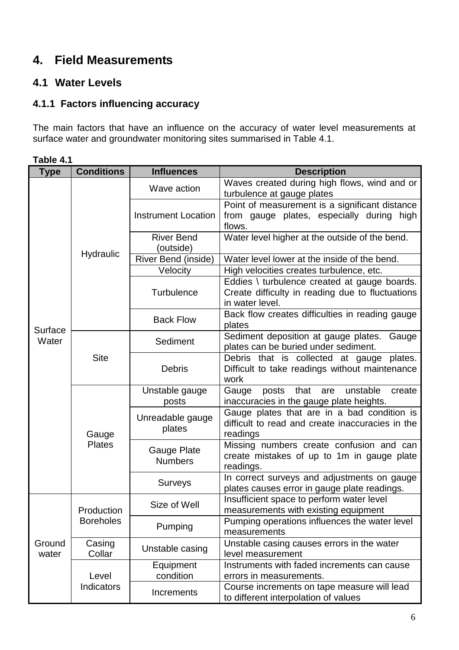# <span id="page-5-0"></span>**4. Field Measurements**

### <span id="page-5-2"></span><span id="page-5-1"></span>**4.1 Water Levels**

#### **4.1.1 Factors influencing accuracy**

The main factors that have an influence on the accuracy of water level measurements at surface water and groundwater monitoring sites summarised in Table 4.1.

| <b>Type</b>     | <b>Conditions</b>                   | <b>Description</b>             |                                                                                                                     |  |  |  |  |  |  |
|-----------------|-------------------------------------|--------------------------------|---------------------------------------------------------------------------------------------------------------------|--|--|--|--|--|--|
|                 |                                     | Wave action                    | Waves created during high flows, wind and or<br>turbulence at gauge plates                                          |  |  |  |  |  |  |
|                 |                                     | <b>Instrument Location</b>     | Point of measurement is a significant distance<br>from gauge plates, especially during high<br>flows.               |  |  |  |  |  |  |
|                 |                                     | <b>River Bend</b><br>(outside) | Water level higher at the outside of the bend.                                                                      |  |  |  |  |  |  |
|                 | Hydraulic                           | River Bend (inside)            | Water level lower at the inside of the bend.                                                                        |  |  |  |  |  |  |
|                 |                                     | Velocity                       | High velocities creates turbulence, etc.                                                                            |  |  |  |  |  |  |
|                 |                                     | <b>Turbulence</b>              | Eddies \ turbulence created at gauge boards.<br>Create difficulty in reading due to fluctuations<br>in water level. |  |  |  |  |  |  |
| Surface         |                                     | <b>Back Flow</b>               | Back flow creates difficulties in reading gauge<br>plates                                                           |  |  |  |  |  |  |
| Water           |                                     | Sediment                       | Sediment deposition at gauge plates.<br>Gauge<br>plates can be buried under sediment.                               |  |  |  |  |  |  |
|                 | <b>Site</b>                         | <b>Debris</b>                  | Debris that is collected at gauge plates.<br>Difficult to take readings without maintenance<br>work                 |  |  |  |  |  |  |
|                 |                                     | Unstable gauge<br>posts        | posts that are<br>unstable<br>create<br>Gauge<br>inaccuracies in the gauge plate heights.                           |  |  |  |  |  |  |
|                 | Gauge                               | Unreadable gauge<br>plates     | Gauge plates that are in a bad condition is<br>difficult to read and create inaccuracies in the<br>readings         |  |  |  |  |  |  |
|                 | <b>Plates</b>                       | Gauge Plate<br><b>Numbers</b>  | Missing numbers create confusion and can<br>create mistakes of up to 1m in gauge plate<br>readings.                 |  |  |  |  |  |  |
|                 |                                     | <b>Surveys</b>                 | In correct surveys and adjustments on gauge<br>plates causes error in gauge plate readings.                         |  |  |  |  |  |  |
|                 | Production                          | Size of Well                   | Insufficient space to perform water level<br>measurements with existing equipment                                   |  |  |  |  |  |  |
|                 | <b>Boreholes</b>                    | Pumping                        | Pumping operations influences the water level<br>measurements                                                       |  |  |  |  |  |  |
| Ground<br>water | Casing<br>Unstable casing<br>Collar |                                | Unstable casing causes errors in the water<br>level measurement                                                     |  |  |  |  |  |  |
|                 | Level                               | Equipment<br>condition         | Instruments with faded increments can cause<br>errors in measurements.                                              |  |  |  |  |  |  |
|                 | Indicators                          | Increments                     | Course increments on tape measure will lead<br>to different interpolation of values                                 |  |  |  |  |  |  |

**Table 4.1**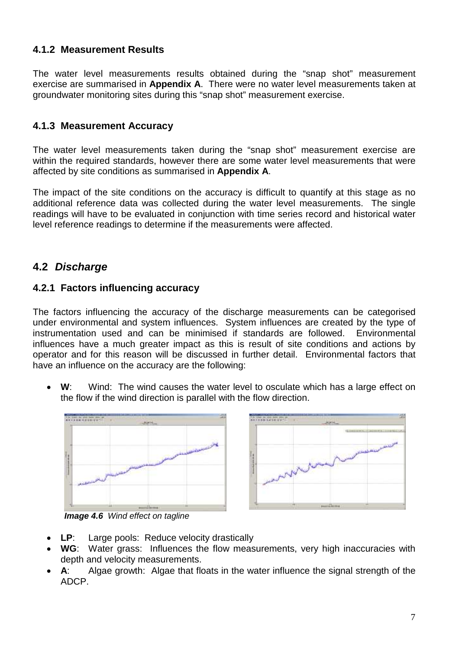#### <span id="page-6-0"></span>**4.1.2 Measurement Results**

The water level measurements results obtained during the "snap shot" measurement exercise are summarised in **Appendix A**. There were no water level measurements taken at groundwater monitoring sites during this "snap shot" measurement exercise.

#### <span id="page-6-1"></span>**4.1.3 Measurement Accuracy**

The water level measurements taken during the "snap shot" measurement exercise are within the required standards, however there are some water level measurements that were affected by site conditions as summarised in **Appendix A**.

The impact of the site conditions on the accuracy is difficult to quantify at this stage as no additional reference data was collected during the water level measurements. The single readings will have to be evaluated in conjunction with time series record and historical water level reference readings to determine if the measurements were affected.

#### <span id="page-6-2"></span>**4.2** *Discharge*

#### <span id="page-6-3"></span>**4.2.1 Factors influencing accuracy**

The factors influencing the accuracy of the discharge measurements can be categorised under environmental and system influences. System influences are created by the type of instrumentation used and can be minimised if standards are followed. Environmental influences have a much greater impact as this is result of site conditions and actions by operator and for this reason will be discussed in further detail. Environmental factors that have an influence on the accuracy are the following:

**W**: Wind: The wind causes the water level to osculate which has a large effect on the flow if the wind direction is parallel with the flow direction.





*Image 4.6 Wind effect on tagline*

- **LP**: Large pools: Reduce velocity drastically
- **WG**: Water grass: Influences the flow measurements, very high inaccuracies with depth and velocity measurements.
- **A**: Algae growth: Algae that floats in the water influence the signal strength of the ADCP.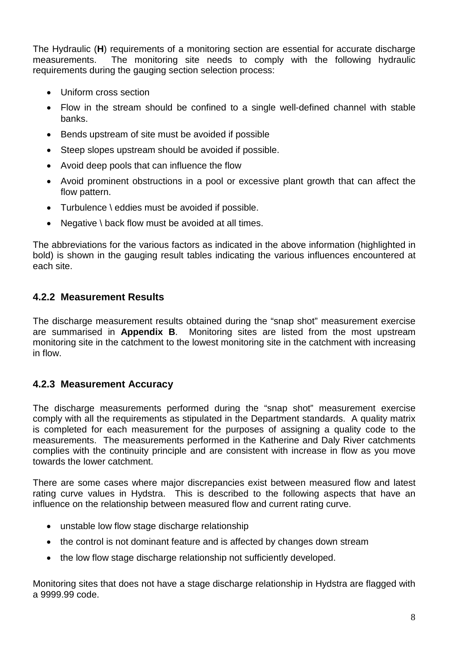The Hydraulic (**H**) requirements of a monitoring section are essential for accurate discharge measurements. The monitoring site needs to comply with the following hydraulic requirements during the gauging section selection process:

- Uniform cross section
- Flow in the stream should be confined to a single well-defined channel with stable banks.
- Bends upstream of site must be avoided if possible
- Steep slopes upstream should be avoided if possible.
- Avoid deep pools that can influence the flow
- Avoid prominent obstructions in a pool or excessive plant growth that can affect the flow pattern.
- Turbulence \ eddies must be avoided if possible.
- Negative \ back flow must be avoided at all times.

The abbreviations for the various factors as indicated in the above information (highlighted in bold) is shown in the gauging result tables indicating the various influences encountered at each site.

#### <span id="page-7-0"></span>**4.2.2 Measurement Results**

The discharge measurement results obtained during the "snap shot" measurement exercise are summarised in **Appendix B**. Monitoring sites are listed from the most upstream monitoring site in the catchment to the lowest monitoring site in the catchment with increasing in flow.

#### <span id="page-7-1"></span>**4.2.3 Measurement Accuracy**

The discharge measurements performed during the "snap shot" measurement exercise comply with all the requirements as stipulated in the Department standards. A quality matrix is completed for each measurement for the purposes of assigning a quality code to the measurements. The measurements performed in the Katherine and Daly River catchments complies with the continuity principle and are consistent with increase in flow as you move towards the lower catchment.

There are some cases where major discrepancies exist between measured flow and latest rating curve values in Hydstra. This is described to the following aspects that have an influence on the relationship between measured flow and current rating curve.

- unstable low flow stage discharge relationship
- the control is not dominant feature and is affected by changes down stream
- the low flow stage discharge relationship not sufficiently developed.

Monitoring sites that does not have a stage discharge relationship in Hydstra are flagged with a 9999.99 code.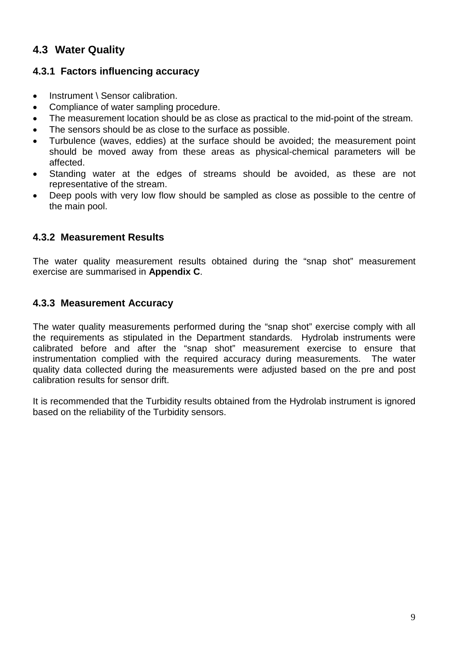#### <span id="page-8-0"></span>**4.3 Water Quality**

#### <span id="page-8-1"></span>**4.3.1 Factors influencing accuracy**

- Instrument \ Sensor calibration.
- Compliance of water sampling procedure.
- The measurement location should be as close as practical to the mid-point of the stream.
- The sensors should be as close to the surface as possible.
- Turbulence (waves, eddies) at the surface should be avoided; the measurement point should be moved away from these areas as physical-chemical parameters will be affected.
- Standing water at the edges of streams should be avoided, as these are not representative of the stream.
- Deep pools with very low flow should be sampled as close as possible to the centre of the main pool.

#### <span id="page-8-2"></span>**4.3.2 Measurement Results**

The water quality measurement results obtained during the "snap shot" measurement exercise are summarised in **Appendix C**.

#### <span id="page-8-3"></span>**4.3.3 Measurement Accuracy**

The water quality measurements performed during the "snap shot" exercise comply with all the requirements as stipulated in the Department standards. Hydrolab instruments were calibrated before and after the "snap shot" measurement exercise to ensure that instrumentation complied with the required accuracy during measurements. The water quality data collected during the measurements were adjusted based on the pre and post calibration results for sensor drift.

It is recommended that the Turbidity results obtained from the Hydrolab instrument is ignored based on the reliability of the Turbidity sensors.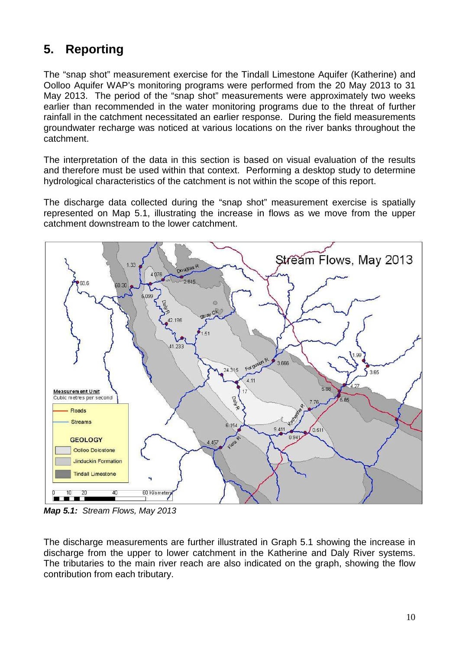# <span id="page-9-0"></span>**5. Reporting**

The "snap shot" measurement exercise for the Tindall Limestone Aquifer (Katherine) and Oolloo Aquifer WAP's monitoring programs were performed from the 20 May 2013 to 31 May 2013. The period of the "snap shot" measurements were approximately two weeks earlier than recommended in the water monitoring programs due to the threat of further rainfall in the catchment necessitated an earlier response. During the field measurements groundwater recharge was noticed at various locations on the river banks throughout the catchment.

The interpretation of the data in this section is based on visual evaluation of the results and therefore must be used within that context. Performing a desktop study to determine hydrological characteristics of the catchment is not within the scope of this report.

The discharge data collected during the "snap shot" measurement exercise is spatially represented on Map 5.1, illustrating the increase in flows as we move from the upper catchment downstream to the lower catchment.



*Map 5.1: Stream Flows, May 2013*

The discharge measurements are further illustrated in Graph 5.1 showing the increase in discharge from the upper to lower catchment in the Katherine and Daly River systems. The tributaries to the main river reach are also indicated on the graph, showing the flow contribution from each tributary.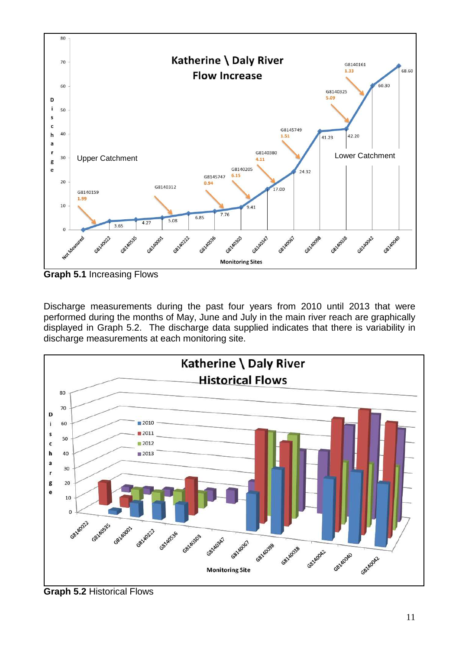

**Graph 5.1** Increasing Flows

Discharge measurements during the past four years from 2010 until 2013 that were performed during the months of May, June and July in the main river reach are graphically displayed in Graph 5.2. The discharge data supplied indicates that there is variability in discharge measurements at each monitoring site.



**Graph 5.2** Historical Flows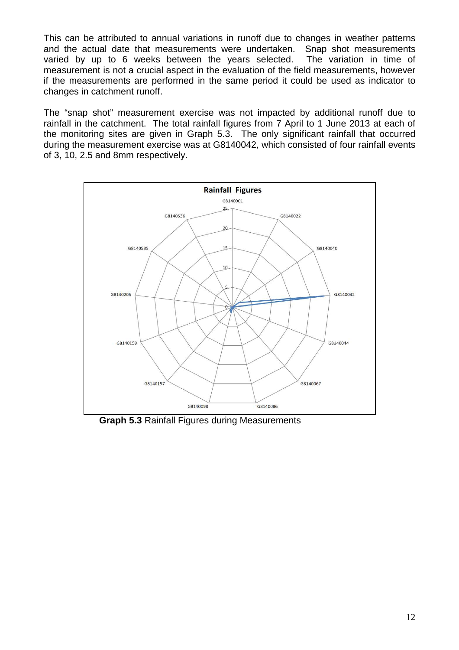This can be attributed to annual variations in runoff due to changes in weather patterns and the actual date that measurements were undertaken. Snap shot measurements varied by up to 6 weeks between the years selected. The variation in time of measurement is not a crucial aspect in the evaluation of the field measurements, however if the measurements are performed in the same period it could be used as indicator to changes in catchment runoff.

The "snap shot" measurement exercise was not impacted by additional runoff due to rainfall in the catchment. The total rainfall figures from 7 April to 1 June 2013 at each of the monitoring sites are given in Graph 5.3. The only significant rainfall that occurred during the measurement exercise was at G8140042, which consisted of four rainfall events of 3, 10, 2.5 and 8mm respectively.



**Graph 5.3** Rainfall Figures during Measurements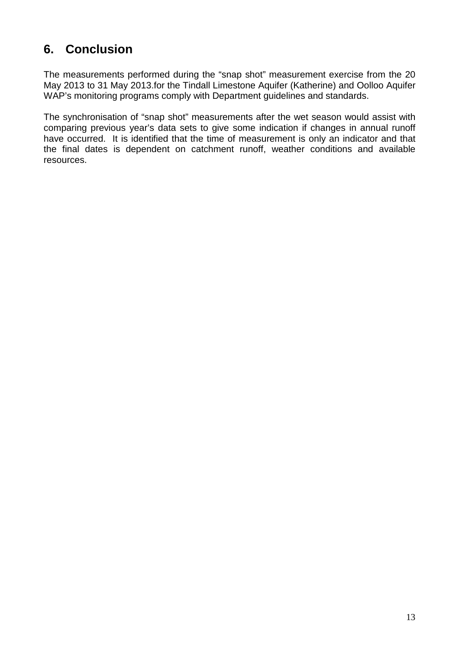# <span id="page-12-0"></span>**6. Conclusion**

The measurements performed during the "snap shot" measurement exercise from the 20 May 2013 to 31 May 2013.for the Tindall Limestone Aquifer (Katherine) and Oolloo Aquifer WAP's monitoring programs comply with Department guidelines and standards.

The synchronisation of "snap shot" measurements after the wet season would assist with comparing previous year's data sets to give some indication if changes in annual runoff have occurred. It is identified that the time of measurement is only an indicator and that the final dates is dependent on catchment runoff, weather conditions and available resources.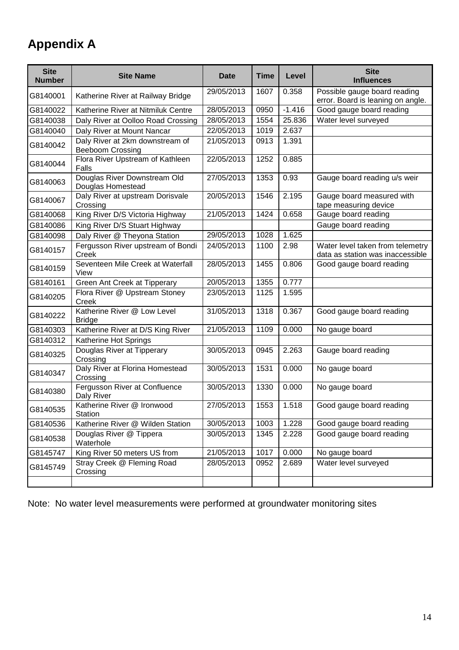# <span id="page-13-0"></span>**Appendix A**

| <b>Site</b><br><b>Number</b> | <b>Site Name</b>                                           | Date       | <b>Time</b> | Level    | <b>Site</b><br><b>Influences</b>                                     |
|------------------------------|------------------------------------------------------------|------------|-------------|----------|----------------------------------------------------------------------|
| G8140001                     | Katherine River at Railway Bridge                          | 29/05/2013 | 1607        | 0.358    | Possible gauge board reading<br>error. Board is leaning on angle.    |
| G8140022                     | Katherine River at Nitmiluk Centre                         | 28/05/2013 | 0950        | $-1.416$ | Good gauge board reading                                             |
| G8140038                     | Daly River at Oolloo Road Crossing                         | 28/05/2013 | 1554        | 25.836   | Water level surveyed                                                 |
| G8140040                     | Daly River at Mount Nancar                                 | 22/05/2013 | 1019        | 2.637    |                                                                      |
| G8140042                     | Daly River at 2km downstream of<br><b>Beeboom Crossing</b> | 21/05/2013 | 0913        | 1.391    |                                                                      |
| G8140044                     | Flora River Upstream of Kathleen<br>Falls                  | 22/05/2013 | 1252        | 0.885    |                                                                      |
| G8140063                     | Douglas River Downstream Old<br>Douglas Homestead          | 27/05/2013 | 1353        | 0.93     | Gauge board reading u/s weir                                         |
| G8140067                     | Daly River at upstream Dorisvale<br>Crossing               | 20/05/2013 | 1546        | 2.195    | Gauge board measured with<br>tape measuring device                   |
| G8140068                     | King River D/S Victoria Highway                            | 21/05/2013 | 1424        | 0.658    | Gauge board reading                                                  |
| G8140086                     | King River D/S Stuart Highway                              |            |             |          | Gauge board reading                                                  |
| G8140098                     | Daly River @ Theyona Station                               | 29/05/2013 | 1028        | 1.625    |                                                                      |
| G8140157                     | Fergusson River upstream of Bondi<br>Creek                 | 24/05/2013 | 1100        | 2.98     | Water level taken from telemetry<br>data as station was inaccessible |
| G8140159                     | Seventeen Mile Creek at Waterfall<br>View                  | 28/05/2013 | 1455        | 0.806    | Good gauge board reading                                             |
| G8140161                     | Green Ant Creek at Tipperary                               | 20/05/2013 | 1355        | 0.777    |                                                                      |
| G8140205                     | Flora River @ Upstream Stoney<br>Creek                     | 23/05/2013 | 1125        | 1.595    |                                                                      |
| G8140222                     | Katherine River @ Low Level<br><b>Bridge</b>               | 31/05/2013 | 1318        | 0.367    | Good gauge board reading                                             |
| G8140303                     | Katherine River at D/S King River                          | 21/05/2013 | 1109        | 0.000    | No gauge board                                                       |
| G8140312                     | Katherine Hot Springs                                      |            |             |          |                                                                      |
| G8140325                     | Douglas River at Tipperary<br>Crossing                     | 30/05/2013 | 0945        | 2.263    | Gauge board reading                                                  |
| G8140347                     | Daly River at Florina Homestead<br>Crossing                | 30/05/2013 | 1531        | 0.000    | No gauge board                                                       |
| G8140380                     | Fergusson River at Confluence<br>Daly River                | 30/05/2013 | 1330        | 0.000    | No gauge board                                                       |
| G8140535                     | Katherine River @ Ironwood<br>Station                      | 27/05/2013 | 1553        | 1.518    | Good gauge board reading                                             |
| G8140536                     | Katherine River @ Wilden Station                           | 30/05/2013 | 1003        | 1.228    | Good gauge board reading                                             |
| G8140538                     | Douglas River @ Tippera<br>Waterhole                       | 30/05/2013 | 1345        | 2.228    | Good gauge board reading                                             |
| G8145747                     | King River 50 meters US from                               | 21/05/2013 | 1017        | 0.000    | No gauge board                                                       |
| G8145749                     | Stray Creek @ Fleming Road<br>Crossing                     | 28/05/2013 | 0952        | 2.689    | Water level surveyed                                                 |
|                              |                                                            |            |             |          |                                                                      |

Note: No water level measurements were performed at groundwater monitoring sites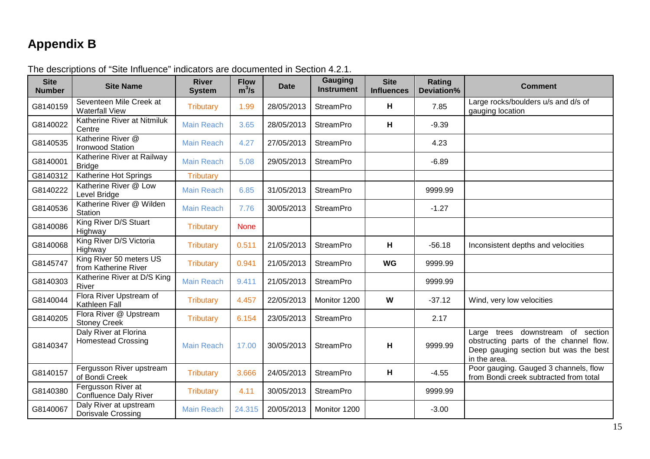# **Appendix B**

<span id="page-14-0"></span>

| <b>Site</b><br><b>Number</b> | <b>Site Name</b>                                   | <b>River</b><br><b>System</b> | <b>Flow</b><br>$m^3/s$ | <b>Date</b> | <b>Gauging</b><br><b>Instrument</b> | <b>Site</b><br><b>Influences</b> | Rating<br>Deviation% | <b>Comment</b>                                                                                                                       |
|------------------------------|----------------------------------------------------|-------------------------------|------------------------|-------------|-------------------------------------|----------------------------------|----------------------|--------------------------------------------------------------------------------------------------------------------------------------|
| G8140159                     | Seventeen Mile Creek at<br><b>Waterfall View</b>   | <b>Tributary</b>              | 1.99                   | 28/05/2013  | <b>StreamPro</b>                    | н                                | 7.85                 | Large rocks/boulders u/s and d/s of<br>gauging location                                                                              |
| G8140022                     | Katherine River at Nitmiluk<br>Centre              | <b>Main Reach</b>             | 3.65                   | 28/05/2013  | <b>StreamPro</b>                    | н                                | $-9.39$              |                                                                                                                                      |
| G8140535                     | Katherine River @<br><b>Ironwood Station</b>       | <b>Main Reach</b>             | 4.27                   | 27/05/2013  | <b>StreamPro</b>                    |                                  | 4.23                 |                                                                                                                                      |
| G8140001                     | Katherine River at Railway<br><b>Bridge</b>        | <b>Main Reach</b>             | 5.08                   | 29/05/2013  | <b>StreamPro</b>                    |                                  | $-6.89$              |                                                                                                                                      |
| G8140312                     | Katherine Hot Springs                              | <b>Tributary</b>              |                        |             |                                     |                                  |                      |                                                                                                                                      |
| G8140222                     | Katherine River @ Low<br>Level Bridge              | <b>Main Reach</b>             | 6.85                   | 31/05/2013  | <b>StreamPro</b>                    |                                  | 9999.99              |                                                                                                                                      |
| G8140536                     | Katherine River @ Wilden<br><b>Station</b>         | <b>Main Reach</b>             | 7.76                   | 30/05/2013  | <b>StreamPro</b>                    |                                  | $-1.27$              |                                                                                                                                      |
| G8140086                     | King River D/S Stuart<br>Highway                   | <b>Tributary</b>              | <b>None</b>            |             |                                     |                                  |                      |                                                                                                                                      |
| G8140068                     | King River D/S Victoria<br>Highway                 | <b>Tributary</b>              | 0.511                  | 21/05/2013  | <b>StreamPro</b>                    | н                                | $-56.18$             | Inconsistent depths and velocities                                                                                                   |
| G8145747                     | King River 50 meters US<br>from Katherine River    | <b>Tributary</b>              | 0.941                  | 21/05/2013  | <b>StreamPro</b>                    | <b>WG</b>                        | 9999.99              |                                                                                                                                      |
| G8140303                     | Katherine River at D/S King<br>River               | <b>Main Reach</b>             | 9.411                  | 21/05/2013  | <b>StreamPro</b>                    |                                  | 9999.99              |                                                                                                                                      |
| G8140044                     | Flora River Upstream of<br>Kathleen Fall           | <b>Tributary</b>              | 4.457                  | 22/05/2013  | Monitor 1200                        | W                                | $-37.12$             | Wind, very low velocities                                                                                                            |
| G8140205                     | Flora River @ Upstream<br><b>Stoney Creek</b>      | <b>Tributary</b>              | 6.154                  | 23/05/2013  | <b>StreamPro</b>                    |                                  | 2.17                 |                                                                                                                                      |
| G8140347                     | Daly River at Florina<br><b>Homestead Crossing</b> | <b>Main Reach</b>             | 17.00                  | 30/05/2013  | <b>StreamPro</b>                    | н                                | 9999.99              | Large trees downstream of section<br>obstructing parts of the channel flow.<br>Deep gauging section but was the best<br>in the area. |
| G8140157                     | Fergusson River upstream<br>of Bondi Creek         | <b>Tributary</b>              | 3.666                  | 24/05/2013  | <b>StreamPro</b>                    | н                                | $-4.55$              | Poor gauging. Gauged 3 channels, flow<br>from Bondi creek subtracted from total                                                      |
| G8140380                     | Fergusson River at<br><b>Confluence Daly River</b> | <b>Tributary</b>              | 4.11                   | 30/05/2013  | <b>StreamPro</b>                    |                                  | 9999.99              |                                                                                                                                      |
| G8140067                     | Daly River at upstream<br>Dorisvale Crossing       | <b>Main Reach</b>             | 24.315                 | 20/05/2013  | Monitor 1200                        |                                  | $-3.00$              |                                                                                                                                      |

The descriptions of "Site Influence" indicators are documented in Section 4.2.1.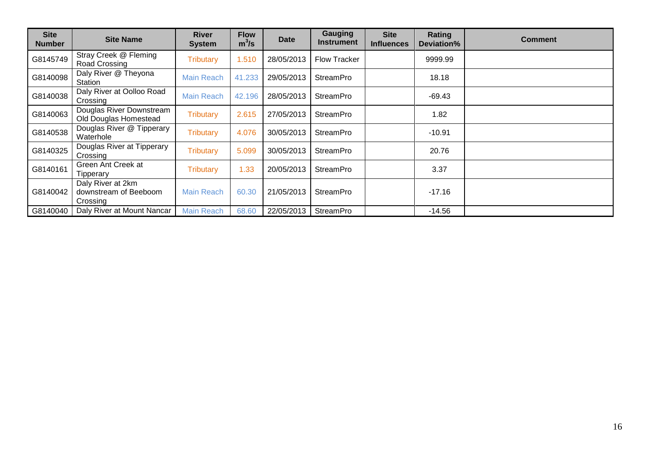| <b>Site</b><br><b>Number</b> | <b>Site Name</b>                                       | <b>River</b><br><b>System</b> | <b>Flow</b><br>$m^3/s$ | <b>Date</b> | Gauging<br>Instrument | <b>Site</b><br><b>Influences</b> | Rating<br>Deviation% | <b>Comment</b> |
|------------------------------|--------------------------------------------------------|-------------------------------|------------------------|-------------|-----------------------|----------------------------------|----------------------|----------------|
| G8145749                     | Stray Creek @ Fleming<br>Road Crossing                 | Tributary                     | 1.510                  | 28/05/2013  | <b>Flow Tracker</b>   |                                  | 9999.99              |                |
| G8140098                     | Daly River @ Theyona<br>Station                        | <b>Main Reach</b>             | 41.233                 | 29/05/2013  | <b>StreamPro</b>      |                                  | 18.18                |                |
| G8140038                     | Daly River at Oolloo Road<br>Crossing                  | <b>Main Reach</b>             | 42.196                 | 28/05/2013  | <b>StreamPro</b>      |                                  | $-69.43$             |                |
| G8140063                     | Douglas River Downstream<br>Old Douglas Homestead      | <b>Tributary</b>              | 2.615                  | 27/05/2013  | <b>StreamPro</b>      |                                  | 1.82                 |                |
| G8140538                     | Douglas River @ Tipperary<br>Waterhole                 | <b>Tributary</b>              | 4.076                  | 30/05/2013  | <b>StreamPro</b>      |                                  | $-10.91$             |                |
| G8140325                     | Douglas River at Tipperary<br>Crossing                 | <b>Tributary</b>              | 5.099                  | 30/05/2013  | <b>StreamPro</b>      |                                  | 20.76                |                |
| G8140161                     | Green Ant Creek at<br>Tipperary                        | <b>Tributary</b>              | 1.33                   | 20/05/2013  | <b>StreamPro</b>      |                                  | 3.37                 |                |
| G8140042                     | Daly River at 2km<br>downstream of Beeboom<br>Crossing | <b>Main Reach</b>             | 60.30                  | 21/05/2013  | <b>StreamPro</b>      |                                  | $-17.16$             |                |
| G8140040                     | Daly River at Mount Nancar                             | <b>Main Reach</b>             | 68.60                  | 22/05/2013  | <b>StreamPro</b>      |                                  | $-14.56$             |                |